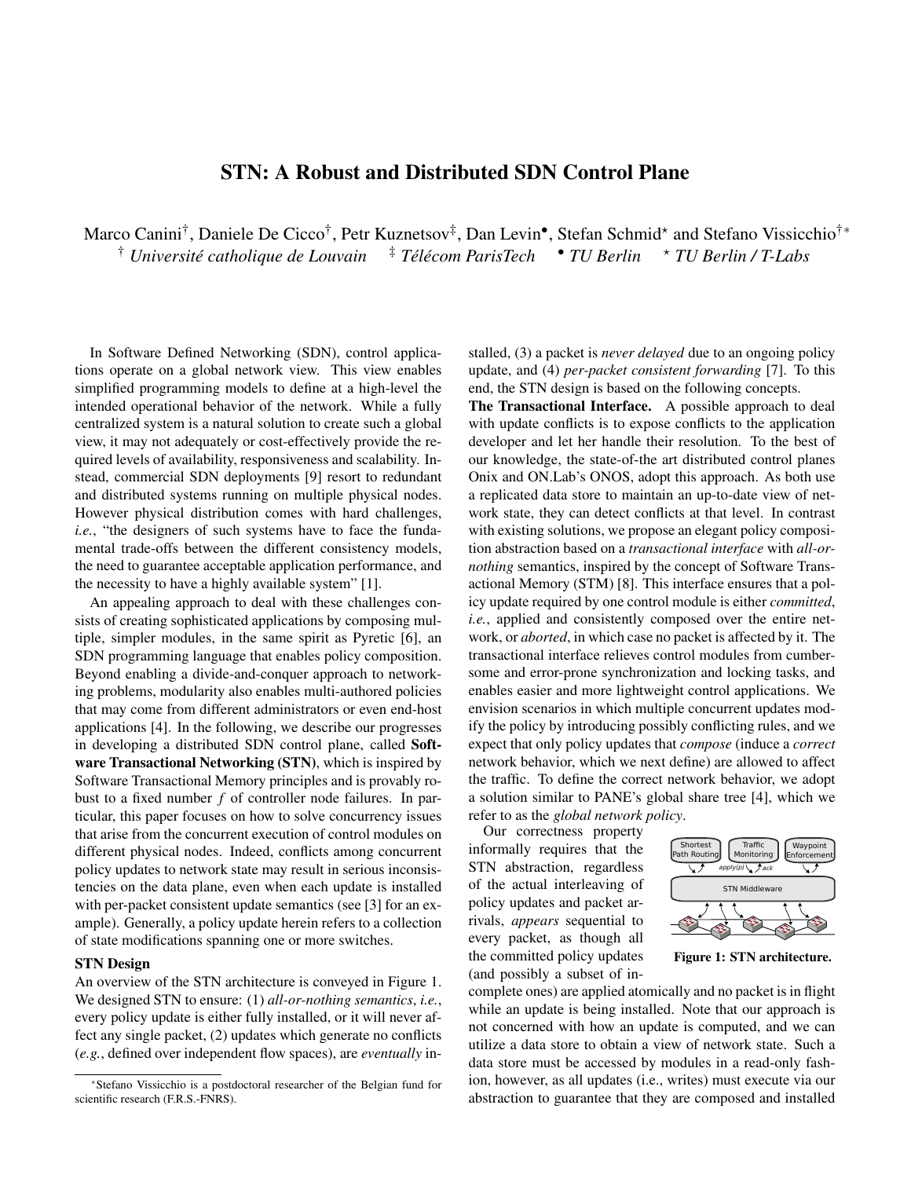## STN: A Robust and Distributed SDN Control Plane

Marco Canini<sup>†</sup>, Daniele De Cicco<sup>†</sup>, Petr Kuznetsov<sup>‡</sup>, Dan Levin•, Stefan Schmid\* and Stefano Vissicchio<sup>†</sup>\* † *Universite catholique de Louvain ´* ‡ *Tel´ ecom ParisTech ´* • *TU Berlin* ? *TU Berlin / T-Labs*

In Software Defined Networking (SDN), control applications operate on a global network view. This view enables simplified programming models to define at a high-level the intended operational behavior of the network. While a fully centralized system is a natural solution to create such a global view, it may not adequately or cost-effectively provide the required levels of availability, responsiveness and scalability. Instead, commercial SDN deployments [9] resort to redundant and distributed systems running on multiple physical nodes. However physical distribution comes with hard challenges, *i.e.*, "the designers of such systems have to face the fundamental trade-offs between the different consistency models, the need to guarantee acceptable application performance, and the necessity to have a highly available system" [1].

An appealing approach to deal with these challenges consists of creating sophisticated applications by composing multiple, simpler modules, in the same spirit as Pyretic [6], an SDN programming language that enables policy composition. Beyond enabling a divide-and-conquer approach to networking problems, modularity also enables multi-authored policies that may come from different administrators or even end-host applications [4]. In the following, we describe our progresses in developing a distributed SDN control plane, called Software Transactional Networking (STN), which is inspired by Software Transactional Memory principles and is provably robust to a fixed number *f* of controller node failures. In particular, this paper focuses on how to solve concurrency issues that arise from the concurrent execution of control modules on different physical nodes. Indeed, conflicts among concurrent policy updates to network state may result in serious inconsistencies on the data plane, even when each update is installed with per-packet consistent update semantics (see [3] for an example). Generally, a policy update herein refers to a collection of state modifications spanning one or more switches.

## STN Design

An overview of the STN architecture is conveyed in Figure 1. We designed STN to ensure: (1) *all-or-nothing semantics*, *i.e.*, every policy update is either fully installed, or it will never affect any single packet, (2) updates which generate no conflicts (*e.g.*, defined over independent flow spaces), are *eventually* installed, (3) a packet is *never delayed* due to an ongoing policy update, and (4) *per-packet consistent forwarding* [7]. To this end, the STN design is based on the following concepts.

The Transactional Interface. A possible approach to deal with update conflicts is to expose conflicts to the application developer and let her handle their resolution. To the best of our knowledge, the state-of-the art distributed control planes Onix and ON.Lab's ONOS, adopt this approach. As both use a replicated data store to maintain an up-to-date view of network state, they can detect conflicts at that level. In contrast with existing solutions, we propose an elegant policy composition abstraction based on a *transactional interface* with *all-ornothing* semantics, inspired by the concept of Software Transactional Memory (STM) [8]. This interface ensures that a policy update required by one control module is either *committed*, *i.e.*, applied and consistently composed over the entire network, or *aborted*, in which case no packet is affected by it. The transactional interface relieves control modules from cumbersome and error-prone synchronization and locking tasks, and enables easier and more lightweight control applications. We envision scenarios in which multiple concurrent updates modify the policy by introducing possibly conflicting rules, and we expect that only policy updates that *compose* (induce a *correct* network behavior, which we next define) are allowed to affect the traffic. To define the correct network behavior, we adopt a solution similar to PANE's global share tree [4], which we refer to as the *global network policy*.

Our correctness property informally requires that the STN abstraction, regardless of the actual interleaving of policy updates and packet arrivals, *appears* sequential to every packet, as though all the committed policy updates (and possibly a subset of in-



Figure 1: STN architecture.

complete ones) are applied atomically and no packet is in flight while an update is being installed. Note that our approach is not concerned with how an update is computed, and we can utilize a data store to obtain a view of network state. Such a data store must be accessed by modules in a read-only fashion, however, as all updates (i.e., writes) must execute via our abstraction to guarantee that they are composed and installed

<sup>∗</sup>Stefano Vissicchio is a postdoctoral researcher of the Belgian fund for scientific research (F.R.S.-FNRS).